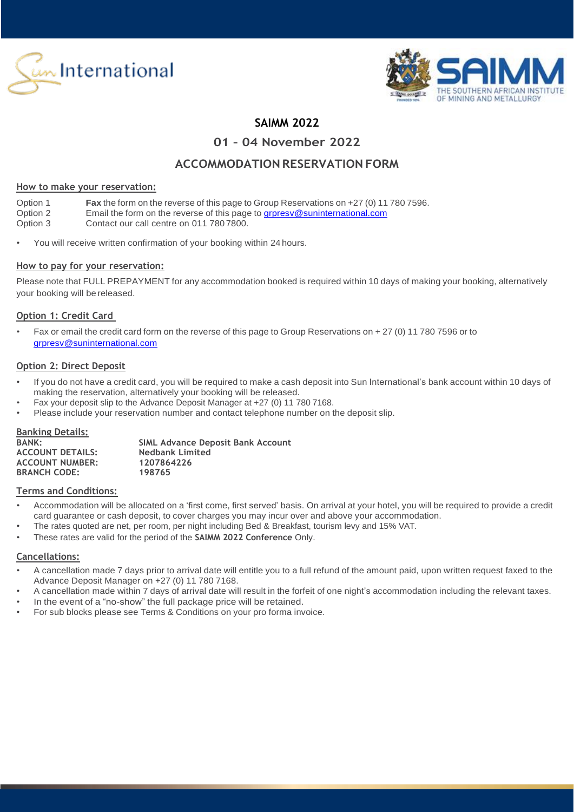



## **SAIMM 2022**

**01 – 04 November 2022**

## **ACCOMMODATION RESERVATION FORM**

#### **How to make your reservation:**

| Option 1 | <b>Fax</b> the form on the reverse of this page to Group Reservations on +27 (0) 11 780 7596. |
|----------|-----------------------------------------------------------------------------------------------|
| Option 2 | Email the form on the reverse of this page to grpresy@suninternational.com                    |
| Option 3 | Contact our call centre on 011 780 7800.                                                      |

You will receive written confirmation of your booking within 24 hours.

#### **How to pay for your reservation:**

Please note that FULL PREPAYMENT for any accommodation booked is required within 10 days of making your booking, alternatively your booking will be released.

#### **Option 1: Credit Card**

• Fax or email the credit card form on the reverse of this page to Group Reservations on + 27 (0) 11 780 7596 or to [grpresv@suninternational.com](mailto:grpresv@suninternational.com)

#### **Option 2: Direct Deposit**

- If you do not have a credit card, you will be required to make a cash deposit into Sun International's bank account within 10 days of making the reservation, alternatively your booking will be released.
- Fax your deposit slip to the Advance Deposit Manager at +27 (0) 11 780 7168.
- Please include your reservation number and contact telephone number on the deposit slip.

#### **Banking Details:**

| <b>SIML Advance Deposit Bank Account</b> |
|------------------------------------------|
| <b>Nedbank Limited</b>                   |
| 1207864226                               |
| 198765                                   |
|                                          |

#### **Terms and Conditions:**

- Accommodation will be allocated on a 'first come, first served' basis. On arrival at your hotel, you will be required to provide a credit card guarantee or cash deposit, to cover charges you may incur over and above your accommodation.
- The rates quoted are net, per room, per night including Bed & Breakfast, tourism levy and 15% VAT.
- These rates are valid for the period of the **SAIMM 2022 Conference** Only.

#### **Cancellations:**

- A cancellation made 7 days prior to arrival date will entitle you to a full refund of the amount paid, upon written request faxed to the Advance Deposit Manager on +27 (0) 11 780 7168.
- A cancellation made within 7 days of arrival date will result in the forfeit of one night's accommodation including the relevant taxes.
- In the event of a "no-show" the full package price will be retained.
- For sub blocks please see Terms & Conditions on your pro forma invoice.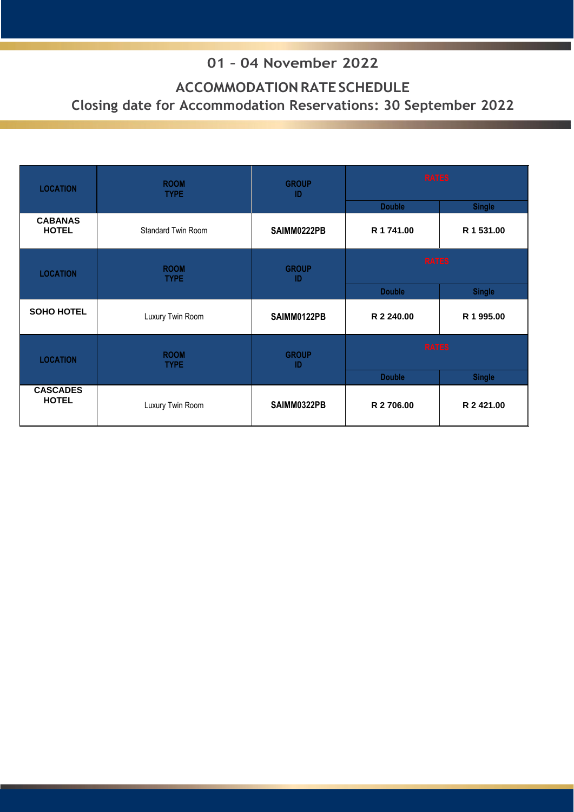# **01 – 04 November 2022**

# **ACCOMMODATIONRATESCHEDULE Closing date for Accommodation Reservations: 30 September 2022**

| <b>LOCATION</b>                 | <b>ROOM</b><br><b>TYPE</b> | <b>GROUP</b><br>-ID | <b>RATES</b>  |               |
|---------------------------------|----------------------------|---------------------|---------------|---------------|
|                                 |                            |                     | <b>Double</b> | <b>Single</b> |
| <b>CABANAS</b><br><b>HOTEL</b>  | <b>Standard Twin Room</b>  | SAIMM0222PB         | R 1 741.00    | R 1 531.00    |
| <b>LOCATION</b>                 | <b>ROOM</b><br><b>TYPE</b> | <b>GROUP</b><br>-ID | <b>RATES</b>  |               |
|                                 |                            |                     | <b>Double</b> | <b>Single</b> |
| <b>SOHO HOTEL</b>               | Luxury Twin Room           | SAIMM0122PB         | R 2 240.00    | R 1 995.00    |
| <b>LOCATION</b>                 | <b>ROOM</b><br><b>TYPE</b> |                     | <b>RATES</b>  |               |
|                                 |                            |                     | <b>Double</b> | <b>Single</b> |
| <b>CASCADES</b><br><b>HOTEL</b> | Luxury Twin Room           | SAIMM0322PB         | R 2706.00     | R 2 421.00    |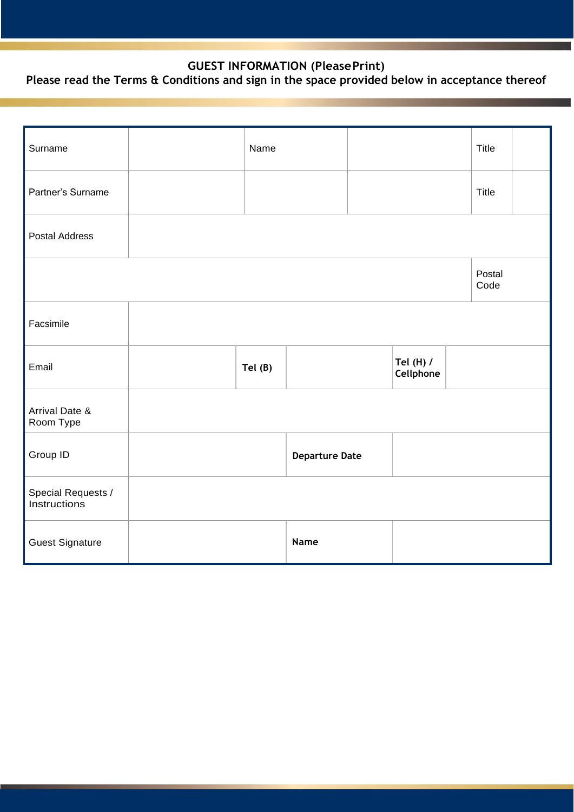### **GUEST INFORMATION (PleasePrint)**

## **Please read the Terms & Conditions and sign in the space provided below in acceptance thereof**

| Surname                            | Name   |                       |                        | Title          |  |
|------------------------------------|--------|-----------------------|------------------------|----------------|--|
| Partner's Surname                  |        |                       |                        | <b>Title</b>   |  |
| <b>Postal Address</b>              |        |                       |                        |                |  |
|                                    |        |                       |                        | Postal<br>Code |  |
| Facsimile                          |        |                       |                        |                |  |
| Email                              | Tel(B) |                       | Tel (H) /<br>Cellphone |                |  |
| Arrival Date &<br>Room Type        |        |                       |                        |                |  |
| Group ID                           |        | <b>Departure Date</b> |                        |                |  |
| Special Requests /<br>Instructions |        |                       |                        |                |  |
| <b>Guest Signature</b>             |        | Name                  |                        |                |  |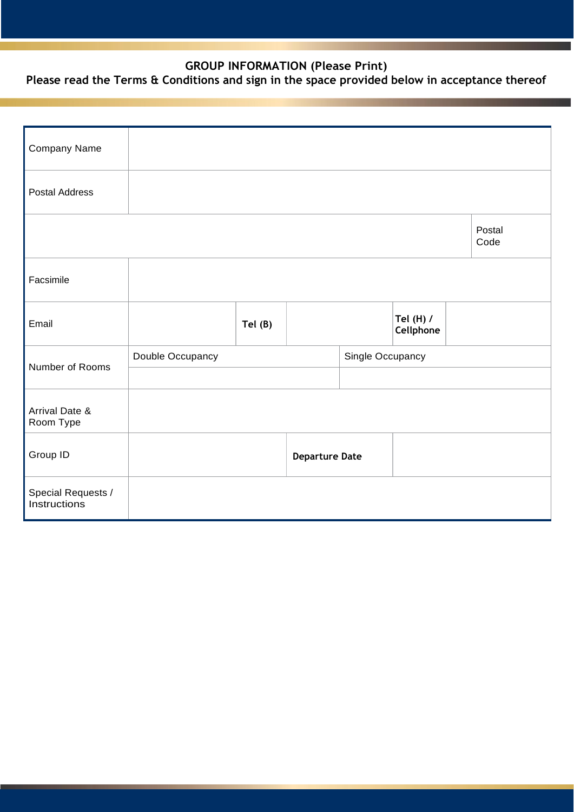### **GROUP INFORMATION (Please Print)**

## **Please read the Terms & Conditions and sign in the space provided below in acceptance thereof**

| Company Name                       |                  |        |                       |  |                        |  |                |
|------------------------------------|------------------|--------|-----------------------|--|------------------------|--|----------------|
| <b>Postal Address</b>              |                  |        |                       |  |                        |  |                |
|                                    |                  |        |                       |  |                        |  | Postal<br>Code |
| Facsimile                          |                  |        |                       |  |                        |  |                |
| Email                              |                  | Tel(B) |                       |  | Tel (H) /<br>Cellphone |  |                |
|                                    | Double Occupancy |        | Single Occupancy      |  |                        |  |                |
| Number of Rooms                    |                  |        |                       |  |                        |  |                |
| Arrival Date &<br>Room Type        |                  |        |                       |  |                        |  |                |
| Group ID                           |                  |        | <b>Departure Date</b> |  |                        |  |                |
| Special Requests /<br>Instructions |                  |        |                       |  |                        |  |                |